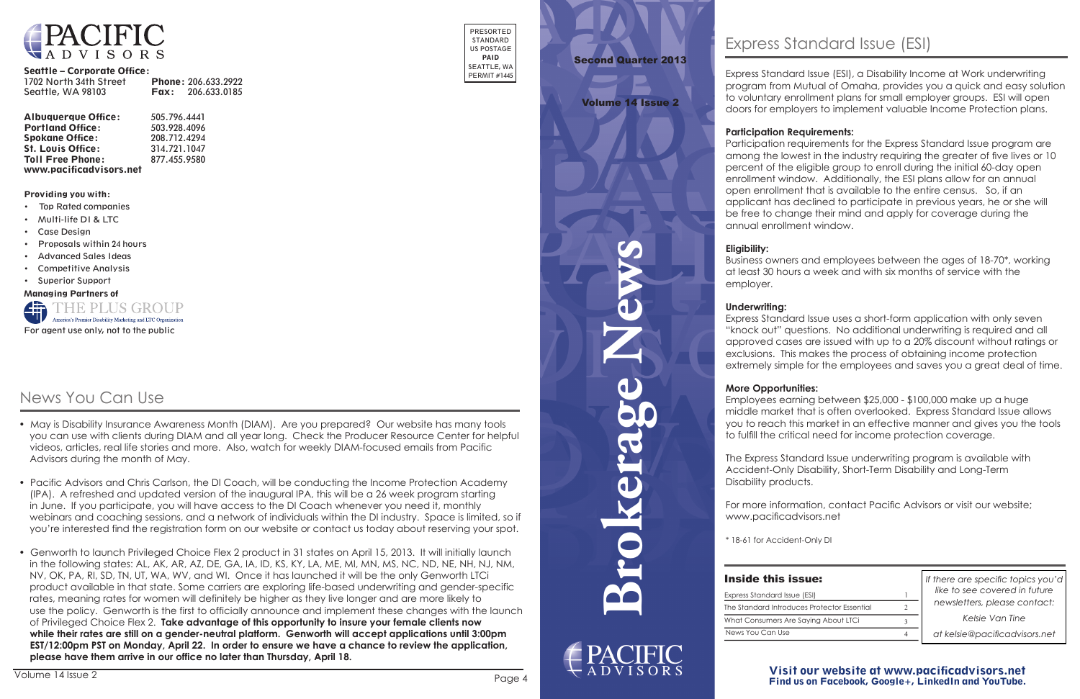**Brokerage News**



### Visit our website at www.pacificadvisors.net Find us on Facebook, Google+, LinkedIn and YouTube.



### Seattle – Corporate Office:

| 1702 North 34th Street | <b>Phone: 206.633.2922</b> |
|------------------------|----------------------------|
| Seattle, WA 98103      | <b>Fax:</b> $206.633.0185$ |

| <b>Albuquerque Office:</b> | 505.796.4441 |
|----------------------------|--------------|
| <b>Portland Office:</b>    | 503.928.4096 |
| <b>Spokane Office:</b>     | 208.712.4294 |
| <b>St. Louis Office:</b>   | 314.721.1047 |
| <b>Toll Free Phone:</b>    | 877.455.9580 |
| www.pacificadvisors.net    |              |

PRESORTED STANDARD US POSTAGE PAID SEATTLE, WA PERMIT #1445

Providing you with:

- • Top Rated companies
- • Multi-life DI & LTC
- • Case Design
- **Proposals within 24 hours**
- **Advanced Sales Ideas**
- • Competitive Analysis
- • Superior Support

Managing Partners of



*If there are specific topics you'd like to see covered in future newsletters, please contact:*

*Kelsie Van Tine*

*at kelsie@pacificadvisors.net*

# Second Quarter 2013

### Volume 14 Issue 2

| ssue:                    |   |
|--------------------------|---|
| ue (ESI)                 |   |
| uces Protector Essential | 2 |
| e Saying About LTCi      | 3 |
|                          |   |

Express Standard Issue (ESI), a Disability Income at Work underwriting program from Mutual of Omaha, provides you a quick and easy solution to voluntary enrollment plans for small employer groups. ESI will open doors for employers to implement valuable Income Protection plans.

### **Participation Requirements:**

Participation requirements for the Express Standard Issue program are among the lowest in the industry requiring the greater of five lives or 10 percent of the eligible group to enroll during the initial 60-day open enrollment window. Additionally, the ESI plans allow for an annual open enrollment that is available to the entire census. So, if an applicant has declined to participate in previous years, he or she will be free to change their mind and apply for coverage during the annual enrollment window.

### **Eligibility:**

Business owners and employees between the ages of 18-70\*, working at least 30 hours a week and with six months of service with the

employer.

### **Underwriting:**

Express Standard Issue uses a short-form application with only seven "knock out" questions. No additional underwriting is required and all approved cases are issued with up to a 20% discount without ratings or exclusions. This makes the process of obtaining income protection extremely simple for the employees and saves you a great deal of time.

### **More Opportunities:**

Employees earning between \$25,000 - \$100,000 make up a huge middle market that is often overlooked. Express Standard Issue allows you to reach this market in an effective manner and gives you the tools to fulfill the critical need for income protection coverage.

The Express Standard Issue underwriting program is available with Accident-Only Disability, Short-Term Disability and Long-Term Disability products.

For more information, contact Pacific Advisors or visit our website; www.pacificadvisors.net

\* 18-61 for Accident-Only DI

# **Inside this is**

Express Standard Iss News You Can Use The Standard Introduce What Consumers Are

# News You Can Use

- May is Disability Insurance Awareness Month (DIAM). Are you prepared? Our website has many tools you can use with clients during DIAM and all year long. Check the Producer Resource Center for helpful videos, articles, real life stories and more. Also, watch for weekly DIAM-focused emails from Pacific Advisors during the month of May.
- Pacific Advisors and Chris Carlson, the DI Coach, will be conducting the Income Protection Academy (IPA). A refreshed and updated version of the inaugural IPA, this will be a 26 week program starting in June. If you participate, you will have access to the DI Coach whenever you need it, monthly webinars and coaching sessions, and a network of individuals within the DI industry. Space is limited, so if you're interested find the registration form on our website or contact us today about reserving your spot.
- Genworth to launch Privileged Choice Flex 2 product in 31 states on April 15, 2013. It will initially launch in the following states: AL, AK, AR, AZ, DE, GA, IA, ID, KS, KY, LA, ME, MI, MN, MS, NC, ND, NE, NH, NJ, NM, NV, OK, PA, RI, SD, TN, UT, WA, WV, and WI. Once it has launched it will be the only Genworth LTCi product available in that state. Some carriers are exploring life-based underwriting and gender-specific rates, meaning rates for women will definitely be higher as they live longer and are more likely to use the policy. Genworth is the first to officially announce and implement these changes with the launch of Privileged Choice Flex 2. **Take advantage of this opportunity to insure your female clients now while their rates are still on a gender-neutral platform. Genworth will accept applications until 3:00pm EST/12:00pm PST on Monday, April 22. In order to ensure we have a chance to review the application, please have them arrive in our office no later than Thursday, April 18.**